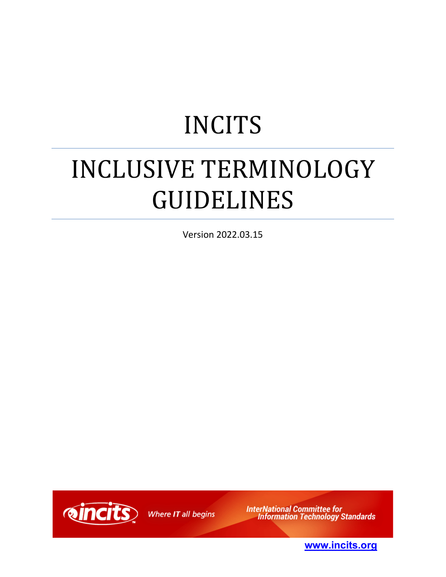# INCITS

# INCLUSIVE TERMINOLOGY GUIDELINES

Version 2022.03.15



Where IT all begins

**InterNational Committee for<br>Information Technology Standards** 

**[www.incits.org](http://www.incits.org/)**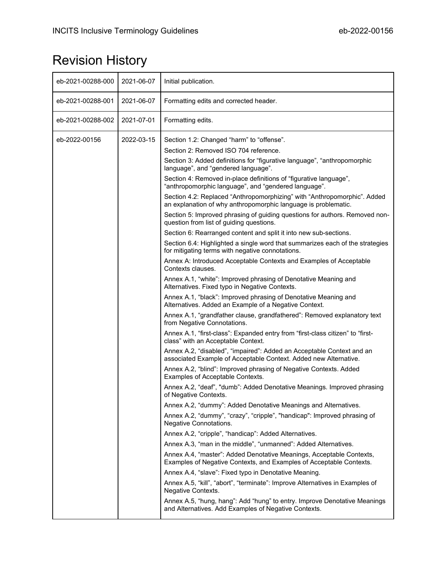# <span id="page-1-0"></span>Revision History

| eb-2021-00288-000 | 2021-06-07 | Initial publication.                                                                                                                                                                                                                                                                                                                                                                                                                                                                                                                                                                                                                                                                                                                                                                                                                                                                                                                                                                                                                                                                                                                                                                                                                                                                                                                                                                                                                                                                                                                                                                                                                                                                                                                                                                                                                                                                                                                                                                                                                                                                                                                                                                                                                                                                                                                                                                                                                                                                                                   |
|-------------------|------------|------------------------------------------------------------------------------------------------------------------------------------------------------------------------------------------------------------------------------------------------------------------------------------------------------------------------------------------------------------------------------------------------------------------------------------------------------------------------------------------------------------------------------------------------------------------------------------------------------------------------------------------------------------------------------------------------------------------------------------------------------------------------------------------------------------------------------------------------------------------------------------------------------------------------------------------------------------------------------------------------------------------------------------------------------------------------------------------------------------------------------------------------------------------------------------------------------------------------------------------------------------------------------------------------------------------------------------------------------------------------------------------------------------------------------------------------------------------------------------------------------------------------------------------------------------------------------------------------------------------------------------------------------------------------------------------------------------------------------------------------------------------------------------------------------------------------------------------------------------------------------------------------------------------------------------------------------------------------------------------------------------------------------------------------------------------------------------------------------------------------------------------------------------------------------------------------------------------------------------------------------------------------------------------------------------------------------------------------------------------------------------------------------------------------------------------------------------------------------------------------------------------------|
| eb-2021-00288-001 | 2021-06-07 | Formatting edits and corrected header.                                                                                                                                                                                                                                                                                                                                                                                                                                                                                                                                                                                                                                                                                                                                                                                                                                                                                                                                                                                                                                                                                                                                                                                                                                                                                                                                                                                                                                                                                                                                                                                                                                                                                                                                                                                                                                                                                                                                                                                                                                                                                                                                                                                                                                                                                                                                                                                                                                                                                 |
| eb-2021-00288-002 | 2021-07-01 | Formatting edits.                                                                                                                                                                                                                                                                                                                                                                                                                                                                                                                                                                                                                                                                                                                                                                                                                                                                                                                                                                                                                                                                                                                                                                                                                                                                                                                                                                                                                                                                                                                                                                                                                                                                                                                                                                                                                                                                                                                                                                                                                                                                                                                                                                                                                                                                                                                                                                                                                                                                                                      |
| eb-2022-00156     | 2022-03-15 | Section 1.2: Changed "harm" to "offense".<br>Section 2: Removed ISO 704 reference.<br>Section 3: Added definitions for "figurative language", "anthropomorphic<br>language", and "gendered language".<br>Section 4: Removed in-place definitions of "figurative language",<br>"anthropomorphic language", and "gendered language".<br>Section 4.2: Replaced "Anthropomorphizing" with "Anthropomorphic". Added<br>an explanation of why anthropomorphic language is problematic.<br>Section 5: Improved phrasing of guiding questions for authors. Removed non-<br>question from list of guiding questions.<br>Section 6: Rearranged content and split it into new sub-sections.<br>Section 6.4: Highlighted a single word that summarizes each of the strategies<br>for mitigating terms with negative connotations.<br>Annex A: Introduced Acceptable Contexts and Examples of Acceptable<br>Contexts clauses.<br>Annex A.1, "white": Improved phrasing of Denotative Meaning and<br>Alternatives. Fixed typo in Negative Contexts.<br>Annex A.1, "black": Improved phrasing of Denotative Meaning and<br>Alternatives. Added an Example of a Negative Context.<br>Annex A.1, "grandfather clause, grandfathered": Removed explanatory text<br>from Negative Connotations.<br>Annex A.1, "first-class": Expanded entry from "first-class citizen" to "first-<br>class" with an Acceptable Context.<br>Annex A.2, "disabled", "impaired": Added an Acceptable Context and an<br>associated Example of Acceptable Context. Added new Alternative.<br>Annex A.2, "blind": Improved phrasing of Negative Contexts. Added<br>Examples of Acceptable Contexts.<br>Annex A.2, "deaf", "dumb": Added Denotative Meanings. Improved phrasing<br>of Negative Contexts.<br>Annex A.2, "dummy": Added Denotative Meanings and Alternatives.<br>Annex A.2, "dummy", "crazy", "cripple", "handicap": Improved phrasing of<br>Negative Connotations.<br>Annex A.2, "cripple", "handicap": Added Alternatives.<br>Annex A.3, "man in the middle", "unmanned": Added Alternatives.<br>Annex A.4, "master": Added Denotative Meanings, Acceptable Contexts,<br>Examples of Negative Contexts, and Examples of Acceptable Contexts.<br>Annex A.4, "slave": Fixed typo in Denotative Meaning.<br>Annex A.5, "kill", "abort", "terminate": Improve Alternatives in Examples of<br>Negative Contexts.<br>Annex A.5, "hung, hang": Add "hung" to entry. Improve Denotative Meanings<br>and Alternatives. Add Examples of Negative Contexts. |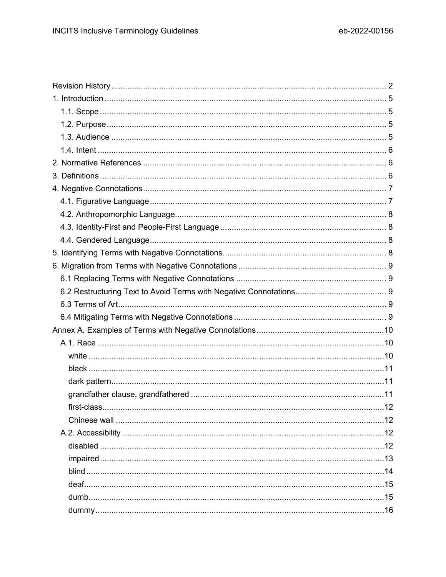| first-class |  |
|-------------|--|
|             |  |
|             |  |
|             |  |
|             |  |
|             |  |
|             |  |
|             |  |
|             |  |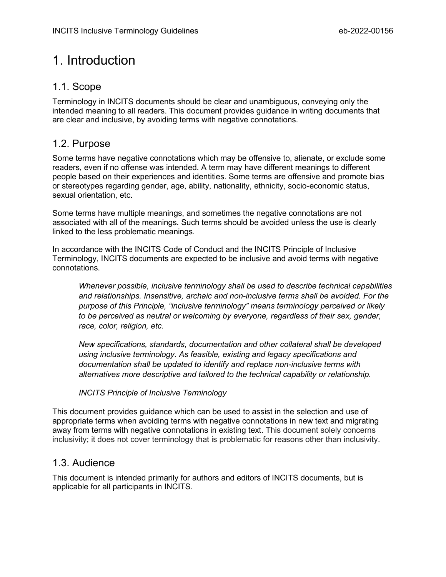# <span id="page-4-0"></span>1. Introduction

## <span id="page-4-1"></span>1.1. Scope

Terminology in INCITS documents should be clear and unambiguous, conveying only the intended meaning to all readers. This document provides guidance in writing documents that are clear and inclusive, by avoiding terms with negative connotations.

## <span id="page-4-2"></span>1.2. Purpose

Some terms have negative connotations which may be offensive to, alienate, or exclude some readers, even if no offense was intended. A term may have different meanings to different people based on their experiences and identities. Some terms are offensive and promote bias or stereotypes regarding gender, age, ability, nationality, ethnicity, socio-economic status, sexual orientation, etc.

Some terms have multiple meanings, and sometimes the negative connotations are not associated with all of the meanings. Such terms should be avoided unless the use is clearly linked to the less problematic meanings.

In accordance with the INCITS Code of Conduct and the INCITS Principle of Inclusive Terminology, INCITS documents are expected to be inclusive and avoid terms with negative connotations.

*Whenever possible, inclusive terminology shall be used to describe technical capabilities and relationships. Insensitive, archaic and non-inclusive terms shall be avoided. For the purpose of this Principle, "inclusive terminology" means terminology perceived or likely to be perceived as neutral or welcoming by everyone, regardless of their sex, gender, race, color, religion, etc.*

*New specifications, standards, documentation and other collateral shall be developed using inclusive terminology. As feasible, existing and legacy specifications and documentation shall be updated to identify and replace non-inclusive terms with alternatives more descriptive and tailored to the technical capability or relationship.*

#### *INCITS Principle of Inclusive Terminology*

This document provides guidance which can be used to assist in the selection and use of appropriate terms when avoiding terms with negative connotations in new text and migrating away from terms with negative connotations in existing text. This document solely concerns inclusivity; it does not cover terminology that is problematic for reasons other than inclusivity.

### <span id="page-4-3"></span>1.3. Audience

This document is intended primarily for authors and editors of INCITS documents, but is applicable for all participants in INCITS.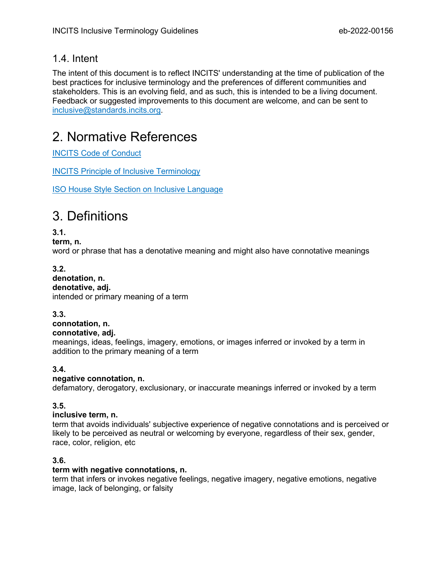## <span id="page-5-0"></span>1.4. Intent

The intent of this document is to reflect INCITS' understanding at the time of publication of the best practices for inclusive terminology and the preferences of different communities and stakeholders. This is an evolving field, and as such, this is intended to be a living document. Feedback or suggested improvements to this document are welcome, and can be sent to [inclusive@standards.incits.org.](mailto:inclusive@standards.incits.org)

# <span id="page-5-1"></span>2. Normative References

[INCITS Code of Conduct](https://standards.incits.org/apps/group_public/download.php/124850/eb-2020-00772-INCITS%20Code%20of%20Conduct.pdf)

[INCITS Principle of Inclusive Terminology](https://www.incits.org/standards-information/policies)

[ISO House Style Section on Inclusive Language](https://www.iso.org/ISO-house-style.html#iso-hs-s-text-r-s-inclusive)

# <span id="page-5-2"></span>3. Definitions

**3.1.**

**term, n.**

word or phrase that has a denotative meaning and might also have connotative meanings

#### **3.2. denotation, n. denotative, adj.** intended or primary meaning of a term

**3.3.**

#### **connotation, n. connotative, adj.**

meanings, ideas, feelings, imagery, emotions, or images inferred or invoked by a term in addition to the primary meaning of a term

#### **3.4.**

#### **negative connotation, n.**

defamatory, derogatory, exclusionary, or inaccurate meanings inferred or invoked by a term

#### **3.5.**

#### **inclusive term, n.**

term that avoids individuals' subjective experience of negative connotations and is perceived or likely to be perceived as neutral or welcoming by everyone, regardless of their sex, gender, race, color, religion, etc

#### **3.6.**

#### **term with negative connotations, n.**

term that infers or invokes negative feelings, negative imagery, negative emotions, negative image, lack of belonging, or falsity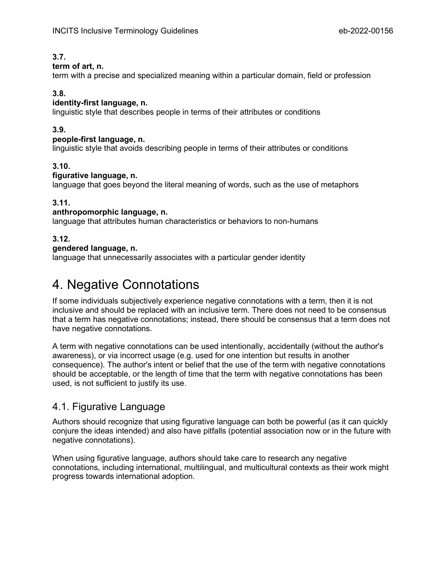#### **3.7.**

#### **term of art, n.**

term with a precise and specialized meaning within a particular domain, field or profession

#### **3.8.**

#### **identity-first language, n.**

linguistic style that describes people in terms of their attributes or conditions

#### **3.9.**

#### **people-first language, n.**

linguistic style that avoids describing people in terms of their attributes or conditions

#### **3.10.**

#### **figurative language, n.**

language that goes beyond the literal meaning of words, such as the use of metaphors

#### **3.11.**

#### **anthropomorphic language, n.**

language that attributes human characteristics or behaviors to non-humans

#### **3.12.**

#### **gendered language, n.**

language that unnecessarily associates with a particular gender identity

# <span id="page-6-0"></span>4. Negative Connotations

If some individuals subjectively experience negative connotations with a term, then it is not inclusive and should be replaced with an inclusive term. There does not need to be consensus that a term has negative connotations; instead, there should be consensus that a term does not have negative connotations.

A term with negative connotations can be used intentionally, accidentally (without the author's awareness), or via incorrect usage (e.g. used for one intention but results in another consequence). The author's intent or belief that the use of the term with negative connotations should be acceptable, or the length of time that the term with negative connotations has been used, is not sufficient to justify its use.

## <span id="page-6-1"></span>4.1. Figurative Language

Authors should recognize that using figurative language can both be powerful (as it can quickly conjure the ideas intended) and also have pitfalls (potential association now or in the future with negative connotations).

When using figurative language, authors should take care to research any negative connotations, including international, multilingual, and multicultural contexts as their work might progress towards international adoption.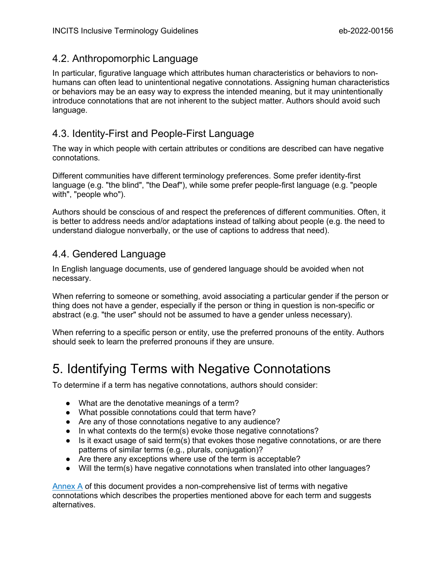## <span id="page-7-0"></span>4.2. Anthropomorphic Language

In particular, figurative language which attributes human characteristics or behaviors to nonhumans can often lead to unintentional negative connotations. Assigning human characteristics or behaviors may be an easy way to express the intended meaning, but it may unintentionally introduce connotations that are not inherent to the subject matter. Authors should avoid such language.

# <span id="page-7-1"></span>4.3. Identity-First and People-First Language

The way in which people with certain attributes or conditions are described can have negative connotations.

Different communities have different terminology preferences. Some prefer identity-first language (e.g. "the blind", "the Deaf"), while some prefer people-first language (e.g. "people with", "people who").

Authors should be conscious of and respect the preferences of different communities. Often, it is better to address needs and/or adaptations instead of talking about people (e.g. the need to understand dialogue nonverbally, or the use of captions to address that need).

# <span id="page-7-2"></span>4.4. Gendered Language

In English language documents, use of gendered language should be avoided when not necessary.

When referring to someone or something, avoid associating a particular gender if the person or thing does not have a gender, especially if the person or thing in question is non-specific or abstract (e.g. "the user" should not be assumed to have a gender unless necessary).

When referring to a specific person or entity, use the preferred pronouns of the entity. Authors should seek to learn the preferred pronouns if they are unsure.

# 5. Identifying Terms with Negative Connotations

To determine if a term has negative connotations, authors should consider:

- <span id="page-7-3"></span>● What are the denotative meanings of a term?
- What possible connotations could that term have?
- Are any of those connotations negative to any audience?
- In what contexts do the term(s) evoke those negative connotations?
- $\bullet$  Is it exact usage of said term(s) that evokes those negative connotations, or are there patterns of similar terms (e.g., plurals, conjugation)?
- Are there any exceptions where use of the term is acceptable?
- Will the term(s) have negative connotations when translated into other languages?

[Annex A](#page-8-5) of this document provides a non-comprehensive list of terms with negative connotations which describes the properties mentioned above for each term and suggests alternatives.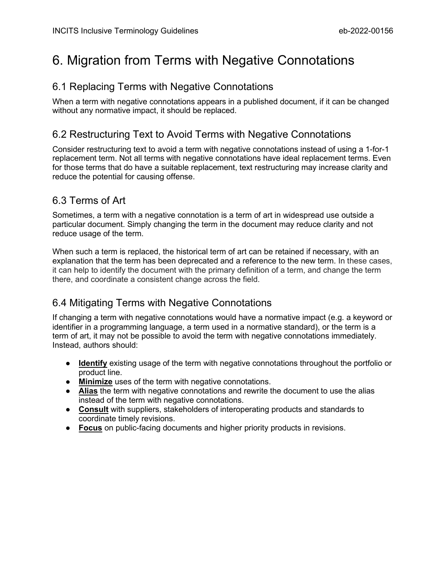# <span id="page-8-0"></span>6. Migration from Terms with Negative Connotations

# <span id="page-8-1"></span>6.1 Replacing Terms with Negative Connotations

When a term with negative connotations appears in a published document, if it can be changed without any normative impact, it should be replaced.

# <span id="page-8-2"></span>6.2 Restructuring Text to Avoid Terms with Negative Connotations

Consider restructuring text to avoid a term with negative connotations instead of using a 1-for-1 replacement term. Not all terms with negative connotations have ideal replacement terms. Even for those terms that do have a suitable replacement, text restructuring may increase clarity and reduce the potential for causing offense.

# <span id="page-8-3"></span>6.3 Terms of Art

Sometimes, a term with a negative connotation is a term of art in widespread use outside a particular document. Simply changing the term in the document may reduce clarity and not reduce usage of the term.

When such a term is replaced, the historical term of art can be retained if necessary, with an explanation that the term has been deprecated and a reference to the new term. In these cases, it can help to identify the document with the primary definition of a term, and change the term there, and coordinate a consistent change across the field.

# <span id="page-8-4"></span>6.4 Mitigating Terms with Negative Connotations

If changing a term with negative connotations would have a normative impact (e.g. a keyword or identifier in a programming language, a term used in a normative standard), or the term is a term of art, it may not be possible to avoid the term with negative connotations immediately. Instead, authors should:

- **Identify** existing usage of the term with negative connotations throughout the portfolio or product line.
- **Minimize** uses of the term with negative connotations.
- **Alias** the term with negative connotations and rewrite the document to use the alias instead of the term with negative connotations.
- **Consult** with suppliers, stakeholders of interoperating products and standards to coordinate timely revisions.
- <span id="page-8-5"></span>● **Focus** on public-facing documents and higher priority products in revisions.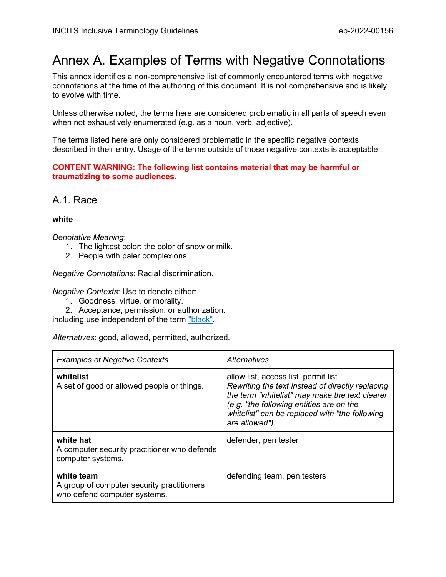# <span id="page-9-0"></span>Annex A. Examples of Terms with Negative Connotations

This annex identifies a non-comprehensive list of commonly encountered terms with negative connotations at the time of the authoring of this document. It is not comprehensive and is likely to evolve with time.

Unless otherwise noted, the terms here are considered problematic in all parts of speech even when not exhaustively enumerated (e.g. as a noun, verb, adjective).

The terms listed here are only considered problematic in the specific negative contexts described in their entry. Usage of the terms outside of those negative contexts is acceptable.

**CONTENT WARNING: The following list contains material that may be harmful or traumatizing to some audiences.**

<span id="page-9-1"></span>A.1. Race

#### <span id="page-9-2"></span>**white**

#### *Denotative Meaning*:

- 1. The lightest color; the color of snow or milk.
- 2. People with paler complexions.

*Negative Connotations*: Racial discrimination.

*Negative Contexts*: Use to denote either:

- 1. Goodness, virtue, or morality.
- 2. Acceptance, permission, or authorization.

including use independent of the term ["black".](#page-10-0)

*Alternatives*: good, allowed, permitted, authorized.

| <b>Examples of Negative Contexts</b>                                                     | Alternatives                                                                                                                                                                                                                                               |
|------------------------------------------------------------------------------------------|------------------------------------------------------------------------------------------------------------------------------------------------------------------------------------------------------------------------------------------------------------|
| whitelist<br>A set of good or allowed people or things.                                  | allow list, access list, permit list<br>Rewriting the text instead of directly replacing<br>the term "whitelist" may make the text clearer<br>(e.g. "the following entities are on the<br>whitelist" can be replaced with "the following<br>are allowed"). |
| white hat<br>A computer security practitioner who defends<br>computer systems.           | defender, pen tester                                                                                                                                                                                                                                       |
| white team<br>A group of computer security practitioners<br>who defend computer systems. | defending team, pen testers                                                                                                                                                                                                                                |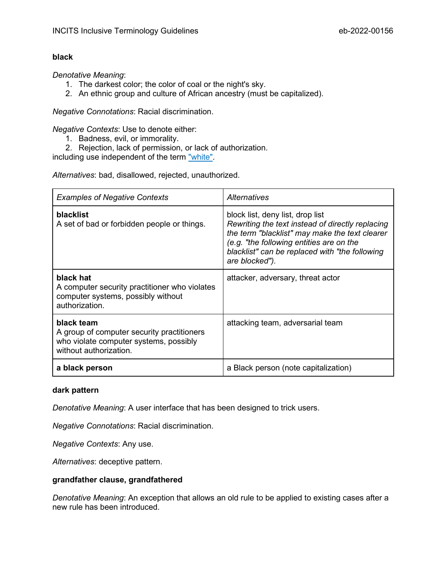#### <span id="page-10-0"></span>**black**

*Denotative Meaning*:

- 1. The darkest color; the color of coal or the night's sky.
- 2. An ethnic group and culture of African ancestry (must be capitalized).

*Negative Connotations*: Racial discrimination.

*Negative Contexts*: Use to denote either:

- 1. Badness, evil, or immorality.
- 2. Rejection, lack of permission, or lack of authorization.

including use independent of the term ["white".](#page-9-2)

*Alternatives*: bad, disallowed, rejected, unauthorized.

| <b>Examples of Negative Contexts</b>                                                                                         | Alternatives                                                                                                                                                                                                                                           |
|------------------------------------------------------------------------------------------------------------------------------|--------------------------------------------------------------------------------------------------------------------------------------------------------------------------------------------------------------------------------------------------------|
| <b>blacklist</b><br>A set of bad or forbidden people or things.                                                              | block list, deny list, drop list<br>Rewriting the text instead of directly replacing<br>the term "blacklist" may make the text clearer<br>(e.g. "the following entities are on the<br>blacklist" can be replaced with "the following<br>are blocked"). |
| black hat<br>A computer security practitioner who violates<br>computer systems, possibly without<br>authorization.           | attacker, adversary, threat actor                                                                                                                                                                                                                      |
| black team<br>A group of computer security practitioners<br>who violate computer systems, possibly<br>without authorization. | attacking team, adversarial team                                                                                                                                                                                                                       |
| a black person                                                                                                               | a Black person (note capitalization)                                                                                                                                                                                                                   |

#### <span id="page-10-1"></span>**dark pattern**

*Denotative Meaning*: A user interface that has been designed to trick users.

*Negative Connotations*: Racial discrimination.

*Negative Contexts*: Any use.

<span id="page-10-2"></span>*Alternatives*: deceptive pattern.

#### **grandfather clause, grandfathered**

*Denotative Meaning*: An exception that allows an old rule to be applied to existing cases after a new rule has been introduced.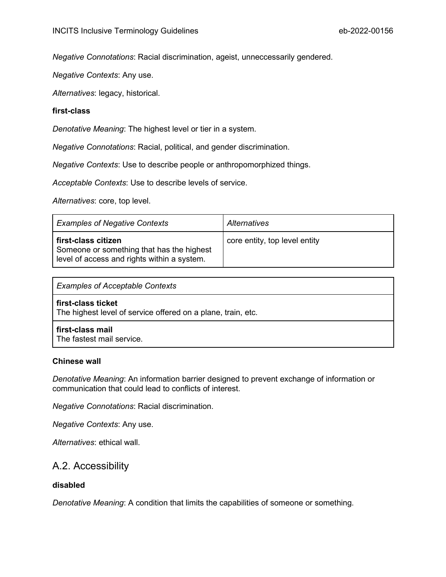*Negative Connotations*: Racial discrimination, ageist, unneccessarily gendered.

*Negative Contexts*: Any use.

<span id="page-11-0"></span>*Alternatives*: legacy, historical.

#### **first-class**

*Denotative Meaning*: The highest level or tier in a system.

*Negative Connotations*: Racial, political, and gender discrimination.

*Negative Contexts*: Use to describe people or anthropomorphized things.

*Acceptable Contexts*: Use to describe levels of service.

*Alternatives*: core, top level.

| <b>Examples of Negative Contexts</b>                                                                            | Alternatives                  |  |
|-----------------------------------------------------------------------------------------------------------------|-------------------------------|--|
| first-class citizen<br>Someone or something that has the highest<br>level of access and rights within a system. | core entity, top level entity |  |

| <b>Examples of Acceptable Contexts</b>                                             |  |  |
|------------------------------------------------------------------------------------|--|--|
| first-class ticket<br>The highest level of service offered on a plane, train, etc. |  |  |
| first-class mail<br>The fastest mail service.                                      |  |  |

#### <span id="page-11-1"></span>**Chinese wall**

*Denotative Meaning*: An information barrier designed to prevent exchange of information or communication that could lead to conflicts of interest.

*Negative Connotations*: Racial discrimination.

*Negative Contexts*: Any use.

<span id="page-11-2"></span>*Alternatives*: ethical wall.

## A.2. Accessibility

#### <span id="page-11-3"></span>**disabled**

*Denotative Meaning*: A condition that limits the capabilities of someone or something.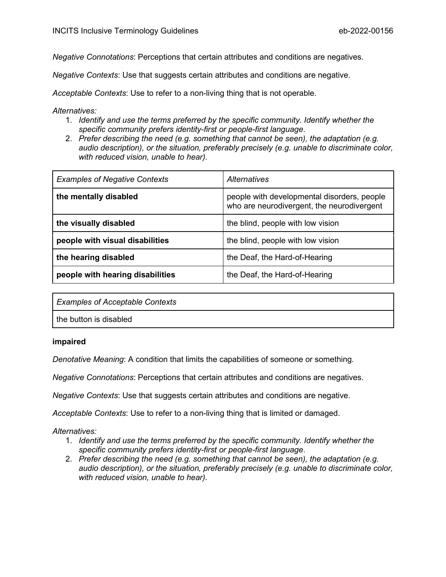*Negative Connotations*: Perceptions that certain attributes and conditions are negatives.

*Negative Contexts*: Use that suggests certain attributes and conditions are negative.

*Acceptable Contexts*: Use to refer to a non-living thing that is not operable.

*Alternatives:*

- 1. *Identify and use the terms preferred by the specific community. Identify whether the specific community prefers identity-first or people-first language*.
- 2. *Prefer describing the need (e.g. something that cannot be seen), the adaptation (e.g. audio description), or the situation, preferably precisely (e.g. unable to discriminate color, with reduced vision, unable to hear)*.

| <b>Examples of Negative Contexts</b> | Alternatives                                                                              |
|--------------------------------------|-------------------------------------------------------------------------------------------|
| the mentally disabled                | people with developmental disorders, people<br>who are neurodivergent, the neurodivergent |
| the visually disabled                | the blind, people with low vision                                                         |
| people with visual disabilities      | the blind, people with low vision                                                         |
| the hearing disabled                 | the Deaf, the Hard-of-Hearing                                                             |
| people with hearing disabilities     | the Deaf, the Hard-of-Hearing                                                             |

*Examples of Acceptable Contexts*

the button is disabled

#### <span id="page-12-0"></span>**impaired**

*Denotative Meaning*: A condition that limits the capabilities of someone or something.

*Negative Connotations*: Perceptions that certain attributes and conditions are negatives.

*Negative Contexts*: Use that suggests certain attributes and conditions are negative.

*Acceptable Contexts*: Use to refer to a non-living thing that is limited or damaged.

- 1. *Identify and use the terms preferred by the specific community. Identify whether the specific community prefers identity-first or people-first language*.
- 2. *Prefer describing the need (e.g. something that cannot be seen), the adaptation (e.g. audio description), or the situation, preferably precisely (e.g. unable to discriminate color, with reduced vision, unable to hear)*.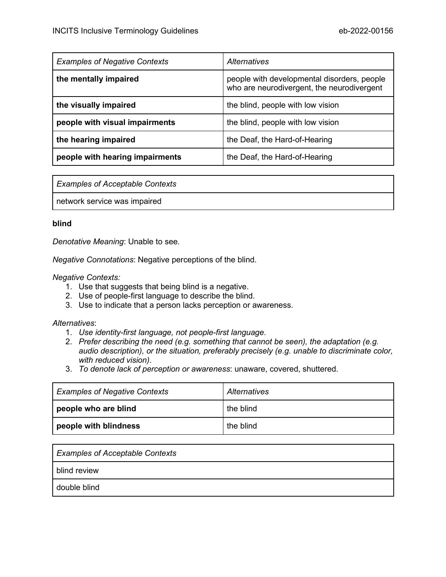| <b>Examples of Negative Contexts</b> | Alternatives                                                                              |
|--------------------------------------|-------------------------------------------------------------------------------------------|
| the mentally impaired                | people with developmental disorders, people<br>who are neurodivergent, the neurodivergent |
| the visually impaired                | the blind, people with low vision                                                         |
| people with visual impairments       | the blind, people with low vision                                                         |
| the hearing impaired                 | the Deaf, the Hard-of-Hearing                                                             |
| people with hearing impairments      | the Deaf, the Hard-of-Hearing                                                             |

*Examples of Acceptable Contexts*

network service was impaired

#### <span id="page-13-0"></span>**blind**

*Denotative Meaning*: Unable to see.

*Negative Connotations*: Negative perceptions of the blind.

#### *Negative Contexts:*

- 1. Use that suggests that being blind is a negative.
- 2. Use of people-first language to describe the blind.
- 3. Use to indicate that a person lacks perception or awareness.

- 1. *Use identity-first language, not people-first language*.
- 2. *Prefer describing the need (e.g. something that cannot be seen), the adaptation (e.g. audio description), or the situation, preferably precisely (e.g. unable to discriminate color, with reduced vision)*.
- 3. *To denote lack of perception or awareness*: unaware, covered, shuttered.

| <b>Examples of Negative Contexts</b> | Alternatives |
|--------------------------------------|--------------|
| people who are blind                 | the blind    |
| people with blindness                | the blind    |

| <b>Examples of Acceptable Contexts</b> |  |
|----------------------------------------|--|
| blind review                           |  |
| double blind                           |  |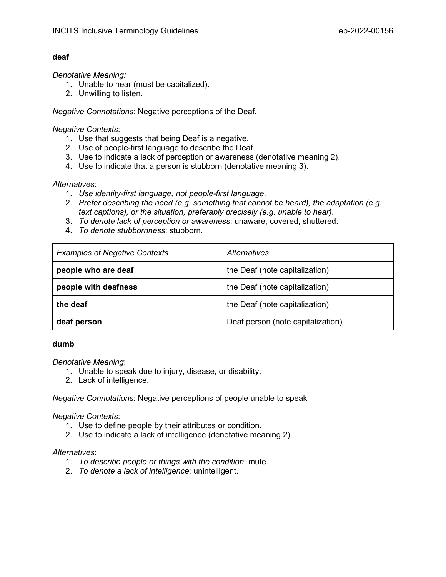#### <span id="page-14-0"></span>**deaf**

#### *Denotative Meaning:*

- 1. Unable to hear (must be capitalized).
- 2. Unwilling to listen.

*Negative Connotations*: Negative perceptions of the Deaf.

#### *Negative Contexts*:

- 1. Use that suggests that being Deaf is a negative.
- 2. Use of people-first language to describe the Deaf.
- 3. Use to indicate a lack of perception or awareness (denotative meaning 2).
- 4. Use to indicate that a person is stubborn (denotative meaning 3).

#### *Alternatives*:

- 1. *Use identity-first language, not people-first language*.
- 2. *Prefer describing the need (e.g. something that cannot be heard), the adaptation (e.g. text captions), or the situation, preferably precisely (e.g. unable to hear)*.
- 3. *To denote lack of perception or awareness*: unaware, covered, shuttered.
- 4. *To denote stubbornness*: stubborn.

| <b>Examples of Negative Contexts</b> | Alternatives                      |
|--------------------------------------|-----------------------------------|
| people who are deaf                  | the Deaf (note capitalization)    |
| people with deafness                 | the Deaf (note capitalization)    |
| the deaf                             | the Deaf (note capitalization)    |
| deaf person                          | Deaf person (note capitalization) |

#### <span id="page-14-1"></span>**dumb**

#### *Denotative Meaning*:

- 1. Unable to speak due to injury, disease, or disability.
- 2. Lack of intelligence.

*Negative Connotations*: Negative perceptions of people unable to speak

#### *Negative Contexts*:

- 1. Use to define people by their attributes or condition.
- 2. Use to indicate a lack of intelligence (denotative meaning 2).

- 1. *To describe people or things with the condition*: mute.
- 2. *To denote a lack of intelligence*: unintelligent.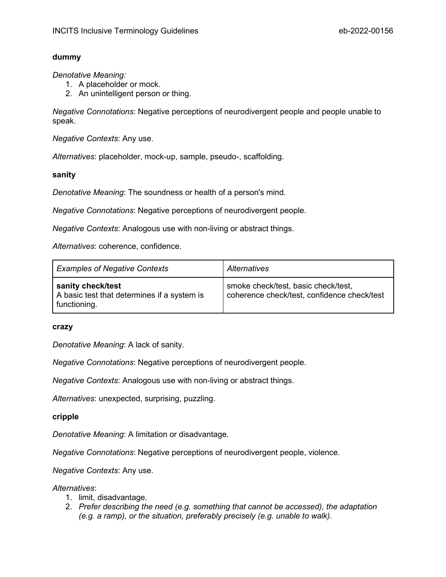#### <span id="page-15-0"></span>**dummy**

*Denotative Meaning:*

- 1. A placeholder or mock.
- 2. An unintelligent person or thing.

*Negative Connotations*: Negative perceptions of neurodivergent people and people unable to speak.

*Negative Contexts*: Any use.

<span id="page-15-1"></span>*Alternatives*: placeholder, mock-up, sample, pseudo-, scaffolding.

**sanity**

*Denotative Meaning*: The soundness or health of a person's mind.

*Negative Connotations*: Negative perceptions of neurodivergent people.

*Negative Contexts*: Analogous use with non-living or abstract things.

*Alternatives*: coherence, confidence.

| <b>Examples of Negative Contexts</b>                                             | Alternatives                                                                       |
|----------------------------------------------------------------------------------|------------------------------------------------------------------------------------|
| sanity check/test<br>A basic test that determines if a system is<br>functioning. | smoke check/test, basic check/test,<br>coherence check/test, confidence check/test |

#### <span id="page-15-2"></span>**crazy**

*Denotative Meaning*: A lack of sanity.

*Negative Connotations*: Negative perceptions of neurodivergent people.

*Negative Contexts*: Analogous use with non-living or abstract things.

<span id="page-15-3"></span>*Alternatives*: unexpected, surprising, puzzling.

#### **cripple**

*Denotative Meaning*: A limitation or disadvantage.

*Negative Connotations*: Negative perceptions of neurodivergent people, violence.

*Negative Contexts*: Any use.

- 1. limit, disadvantage.
- 2. *Prefer describing the need (e.g. something that cannot be accessed), the adaptation (e.g. a ramp), or the situation, preferably precisely (e.g. unable to walk)*.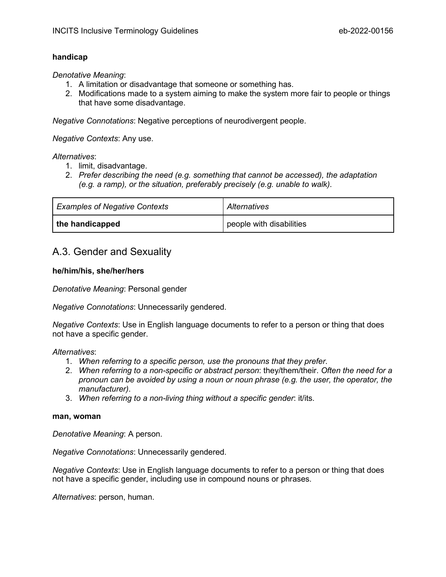#### <span id="page-16-0"></span>**handicap**

*Denotative Meaning*:

- 1. A limitation or disadvantage that someone or something has.
- 2. Modifications made to a system aiming to make the system more fair to people or things that have some disadvantage.

*Negative Connotations*: Negative perceptions of neurodivergent people.

*Negative Contexts*: Any use.

*Alternatives*:

- 1. limit, disadvantage.
- 2. *Prefer describing the need (e.g. something that cannot be accessed), the adaptation (e.g. a ramp), or the situation, preferably precisely (e.g. unable to walk)*.

| <b>Examples of Negative Contexts</b> | Alternatives               |
|--------------------------------------|----------------------------|
| the handicapped                      | I people with disabilities |

## <span id="page-16-1"></span>A.3. Gender and Sexuality

#### <span id="page-16-2"></span>**he/him/his, she/her/hers**

*Denotative Meaning*: Personal gender

*Negative Connotations*: Unnecessarily gendered.

*Negative Contexts*: Use in English language documents to refer to a person or thing that does not have a specific gender.

#### *Alternatives*:

- 1. *When referring to a specific person, use the pronouns that they prefer*.
- 2. *When referring to a non-specific or abstract person*: they/them/their. *Often the need for a pronoun can be avoided by using a noun or noun phrase (e.g. the user, the operator, the manufacturer)*.
- 3. *When referring to a non-living thing without a specific gender*: it/its.

#### <span id="page-16-3"></span>**man, woman**

*Denotative Meaning*: A person.

*Negative Connotations*: Unnecessarily gendered.

*Negative Contexts*: Use in English language documents to refer to a person or thing that does not have a specific gender, including use in compound nouns or phrases.

*Alternatives*: person, human.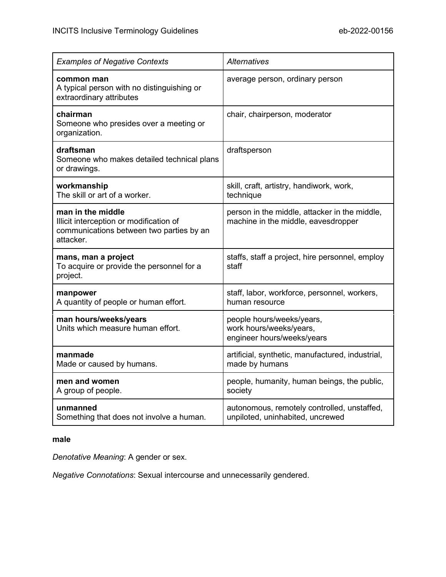| <b>Examples of Negative Contexts</b>                                                                                  | <b>Alternatives</b>                                                                  |
|-----------------------------------------------------------------------------------------------------------------------|--------------------------------------------------------------------------------------|
| common man<br>A typical person with no distinguishing or<br>extraordinary attributes                                  | average person, ordinary person                                                      |
| chairman<br>Someone who presides over a meeting or<br>organization.                                                   | chair, chairperson, moderator                                                        |
| draftsman<br>Someone who makes detailed technical plans<br>or drawings.                                               | draftsperson                                                                         |
| workmanship<br>The skill or art of a worker.                                                                          | skill, craft, artistry, handiwork, work,<br>technique                                |
| man in the middle<br>Illicit interception or modification of<br>communications between two parties by an<br>attacker. | person in the middle, attacker in the middle,<br>machine in the middle, eavesdropper |
| mans, man a project<br>To acquire or provide the personnel for a<br>project.                                          | staffs, staff a project, hire personnel, employ<br>staff                             |
| manpower<br>A quantity of people or human effort.                                                                     | staff, labor, workforce, personnel, workers,<br>human resource                       |
| man hours/weeks/years<br>Units which measure human effort.                                                            | people hours/weeks/years,<br>work hours/weeks/years,<br>engineer hours/weeks/years   |
| manmade<br>Made or caused by humans.                                                                                  | artificial, synthetic, manufactured, industrial,<br>made by humans                   |
| men and women<br>A group of people.                                                                                   | people, humanity, human beings, the public,<br>society                               |
| unmanned<br>Something that does not involve a human.                                                                  | autonomous, remotely controlled, unstaffed,<br>unpiloted, uninhabited, uncrewed      |

#### <span id="page-17-0"></span>**male**

*Denotative Meaning*: A gender or sex.

*Negative Connotations*: Sexual intercourse and unnecessarily gendered.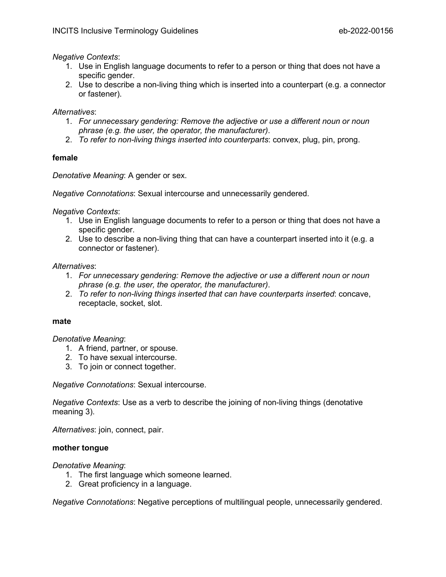#### *Negative Contexts*:

- 1. Use in English language documents to refer to a person or thing that does not have a specific gender.
- 2. Use to describe a non-living thing which is inserted into a counterpart (e.g. a connector or fastener).

#### *Alternatives*:

- 1. *For unnecessary gendering: Remove the adjective or use a different noun or noun phrase (e.g. the user, the operator, the manufacturer)*.
- 2. *To refer to non-living things inserted into counterparts*: convex, plug, pin, prong.

#### <span id="page-18-0"></span>**female**

*Denotative Meaning*: A gender or sex.

*Negative Connotations*: Sexual intercourse and unnecessarily gendered.

*Negative Contexts*:

- 1. Use in English language documents to refer to a person or thing that does not have a specific gender.
- 2. Use to describe a non-living thing that can have a counterpart inserted into it (e.g. a connector or fastener).

#### *Alternatives*:

- 1. *For unnecessary gendering: Remove the adjective or use a different noun or noun phrase (e.g. the user, the operator, the manufacturer)*.
- 2. *To refer to non-living things inserted that can have counterparts inserted*: concave, receptacle, socket, slot.

#### <span id="page-18-1"></span>**mate**

#### *Denotative Meaning*:

- 1. A friend, partner, or spouse.
- 2. To have sexual intercourse.
- 3. To join or connect together.

*Negative Connotations*: Sexual intercourse.

*Negative Contexts*: Use as a verb to describe the joining of non-living things (denotative meaning 3).

<span id="page-18-2"></span>*Alternatives*: join, connect, pair.

#### **mother tongue**

*Denotative Meaning*:

- 1. The first language which someone learned.
- 2. Great proficiency in a language.

*Negative Connotations*: Negative perceptions of multilingual people, unnecessarily gendered.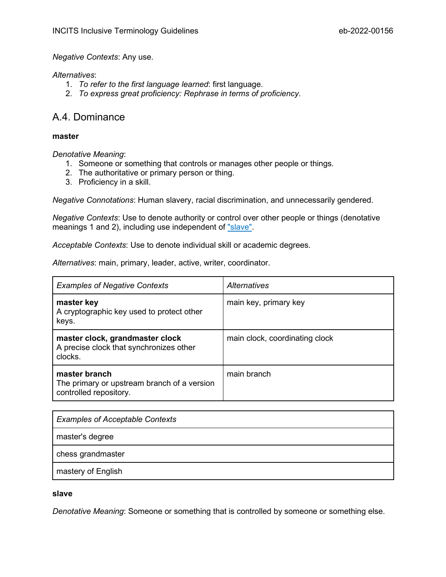#### *Negative Contexts*: Any use.

#### *Alternatives*:

- 1. *To refer to the first language learned*: first language.
- 2. *To express great proficiency: Rephrase in terms of proficiency*.

## <span id="page-19-0"></span>A.4. Dominance

#### <span id="page-19-1"></span>**master**

*Denotative Meaning*:

- 1. Someone or something that controls or manages other people or things.
- 2. The authoritative or primary person or thing.
- 3. Proficiency in a skill.

*Negative Connotations*: Human slavery, racial discrimination, and unnecessarily gendered.

*Negative Contexts*: Use to denote authority or control over other people or things (denotative meanings 1 and 2), including use independent of ["slave".](#page-19-2)

*Acceptable Contexts*: Use to denote individual skill or academic degrees.

*Alternatives*: main, primary, leader, active, writer, coordinator.

| <b>Examples of Negative Contexts</b>                                                   | Alternatives                   |
|----------------------------------------------------------------------------------------|--------------------------------|
| master key<br>A cryptographic key used to protect other<br>keys.                       | main key, primary key          |
| master clock, grandmaster clock<br>A precise clock that synchronizes other<br>clocks.  | main clock, coordinating clock |
| master branch<br>The primary or upstream branch of a version<br>controlled repository. | main branch                    |

| <b>Examples of Acceptable Contexts</b> |
|----------------------------------------|
| master's degree                        |
| chess grandmaster                      |
| mastery of English                     |

#### <span id="page-19-2"></span>**slave**

*Denotative Meaning*: Someone or something that is controlled by someone or something else.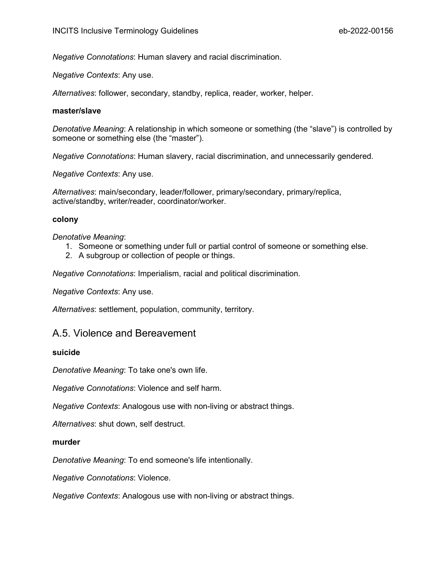*Negative Connotations*: Human slavery and racial discrimination.

*Negative Contexts*: Any use.

<span id="page-20-0"></span>*Alternatives*: follower, secondary, standby, replica, reader, worker, helper.

#### **master/slave**

*Denotative Meaning*: A relationship in which someone or something (the "slave") is controlled by someone or something else (the "master").

*Negative Connotations*: Human slavery, racial discrimination, and unnecessarily gendered.

*Negative Contexts*: Any use.

*Alternatives*: main/secondary, leader/follower, primary/secondary, primary/replica, active/standby, writer/reader, coordinator/worker.

#### <span id="page-20-1"></span>**colony**

#### *Denotative Meaning*:

- 1. Someone or something under full or partial control of someone or something else.
- 2. A subgroup or collection of people or things.

*Negative Connotations*: Imperialism, racial and political discrimination.

*Negative Contexts*: Any use.

<span id="page-20-2"></span>*Alternatives*: settlement, population, community, territory.

#### A.5. Violence and Bereavement

#### <span id="page-20-3"></span>**suicide**

*Denotative Meaning*: To take one's own life.

*Negative Connotations*: Violence and self harm.

*Negative Contexts*: Analogous use with non-living or abstract things.

<span id="page-20-4"></span>*Alternatives*: shut down, self destruct.

#### **murder**

*Denotative Meaning*: To end someone's life intentionally.

*Negative Connotations*: Violence.

*Negative Contexts*: Analogous use with non-living or abstract things.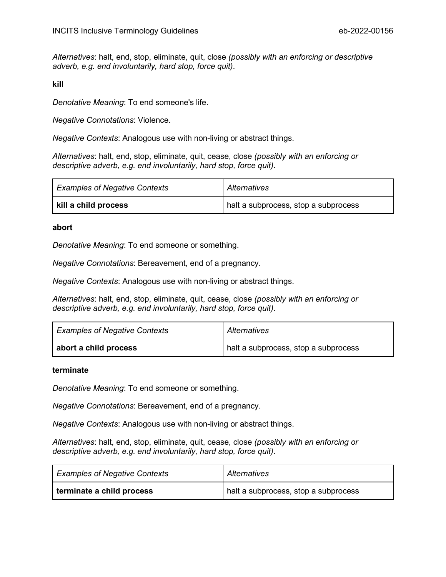*Alternatives*: halt, end, stop, eliminate, quit, close *(possibly with an enforcing or descriptive adverb, e.g. end involuntarily, hard stop, force quit)*.

<span id="page-21-0"></span>**kill**

*Denotative Meaning*: To end someone's life.

*Negative Connotations*: Violence.

*Negative Contexts*: Analogous use with non-living or abstract things.

*Alternatives*: halt, end, stop, eliminate, quit, cease, close *(possibly with an enforcing or descriptive adverb, e.g. end involuntarily, hard stop, force quit)*.

| <b>Examples of Negative Contexts</b> | Alternatives                         |
|--------------------------------------|--------------------------------------|
| kill a child process                 | halt a subprocess, stop a subprocess |

#### <span id="page-21-1"></span>**abort**

*Denotative Meaning*: To end someone or something.

*Negative Connotations*: Bereavement, end of a pregnancy.

*Negative Contexts*: Analogous use with non-living or abstract things.

*Alternatives*: halt, end, stop, eliminate, quit, cease, close *(possibly with an enforcing or descriptive adverb, e.g. end involuntarily, hard stop, force quit)*.

| <b>Examples of Negative Contexts</b> | Alternatives                         |
|--------------------------------------|--------------------------------------|
| abort a child process                | halt a subprocess, stop a subprocess |

#### <span id="page-21-2"></span>**terminate**

*Denotative Meaning*: To end someone or something.

*Negative Connotations*: Bereavement, end of a pregnancy.

*Negative Contexts*: Analogous use with non-living or abstract things.

*Alternatives*: halt, end, stop, eliminate, quit, cease, close *(possibly with an enforcing or descriptive adverb, e.g. end involuntarily, hard stop, force quit)*.

| <b>Examples of Negative Contexts</b> | Alternatives                         |
|--------------------------------------|--------------------------------------|
| terminate a child process            | halt a subprocess, stop a subprocess |